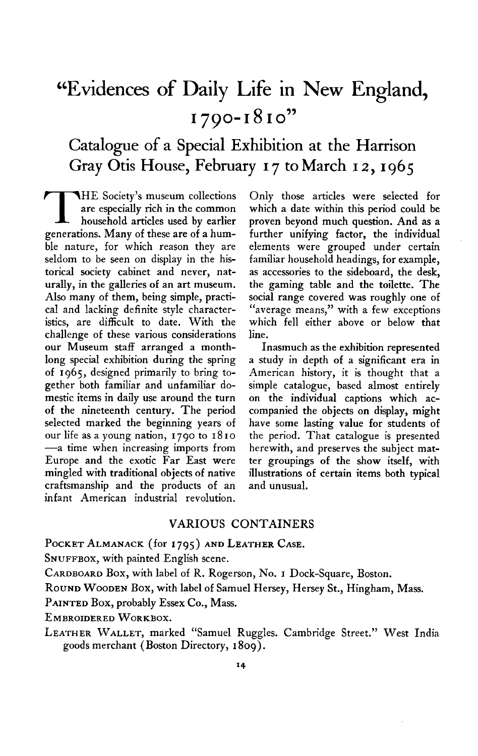# **"Evidences of Daily Life in New England, 1790~1810"**

## **Catalogue of a Special Exhibition at the Harrison Gray Otis House, February I 7 to March I z,1965**

**T HE Society's museum collections are especially rich in the common household articles used by earlier generations. Many of these are of a humble nature, for which reason they are seldom to be seen on display in the historical society cabinet and never, naturally, in the galleries of an art museum. Also many of them, being simple, practical and lacking definite style characteristics, are difficult to date. With the challenge of these various considerations our Museum staff arranged a monthlong special exhibition during the spring of 1965, designed primarily to bring together both familiar and unfamiliar domestic items in daily use around the turn of the nineteenth century. The period selected marked the beginning years of our life as a young nation, 1790 to I8 I0 -a time when increasing imports from Europe and the exotic Far East were mingled with traditional objects of native craftsmanship and the products of an infant American industrial revolution,** 

**Only those articles were selected for which a date within this period could be proven beyond much question. And as a further unifying factor, the individual elements were grouped under certain familiar household headings, for example, as accessories to the sideboard, the desk, the gaming table and the toilette. The social range covered was roughly one of "average means," with a few exceptions which fell either above or below that line.** 

**Inasmuch as the exhibition represented a study in depth of a significant era in American history, it is thought that a simple catalogue, based almost entirely on the individual captions which accompanied the objects on display, might have some lasting value for students of the period. That catalogue is presented herewith, and preserves the subject matter groupings of the show itself, with illustrations of certain items both typical and unusual.** 

#### **VARIOUS CONTAINERS**

POCKET ALMANACK (for 1795) AND LEATHER CASE.

**SNUFFBOX, with painted English scene.** 

**CARDBOARD Box, with label of R. Rogerson, No. I Dock-Square, Boston.** 

**ROUND WOODEN Box, with label of Samuel Hersey, Hersey St., Hingham, Mass.** 

**PAINTED Box, probably Essex Co., Mass.** 

**EMBROIDERED WORKBOX.** 

**LEATHER WALLET, marked "Samuel Ruggles. Cambridge Street." West India goods merchant (Boston Directory, I 809).**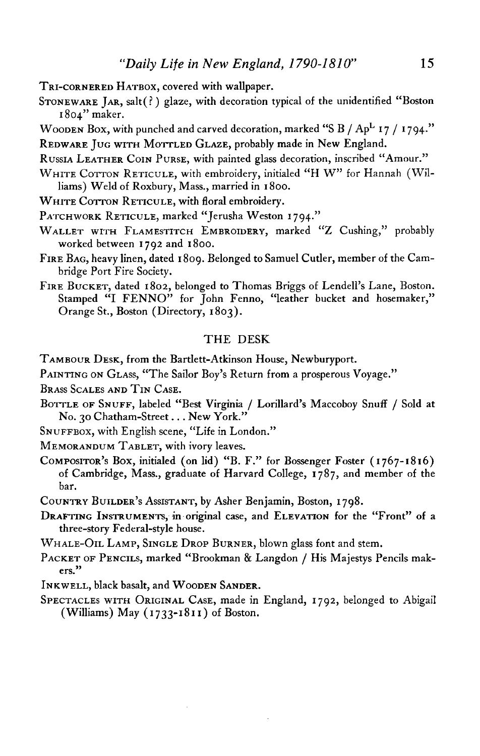- **TRI-CORNERED HATBOX, covered with wallpaper.**
- STONEWARE JAR, salt(?) glaze, with decoration typical of the unidentified "Boston **I 804" maker.**
- **WOODEN Box, with punched and carved decoration, marked "S B / ApL I 7 / I 794."**
- **REDWARE JUG WITH MOTTLED GLAZE, probably made in New England.**
- **RUSSIA LEATHER COIN PURSE, with painted glass decoration, inscribed "Amour."**
- WHITE COTTON RETICULE, with embroidery, initialed "H W" for Hannah (Wil**liams) Weld of Roxbury, Mass., married in I 800.**
- WHITE COTTON RETICULE, with floral embroidery.
- **PATCHWORK RETICULE, marked "Jerusha Weston 1794."**
- **WALLET WITH FLAMESTITCH EMBROIDERY, marked "Z Cushing," probably worked between 1792 and 1800.**
- **FIRE BAG, heavy linen, dated I 809. Belonged to Samuel Cutler, member of the Cambridge Port Fire Society.**
- FIRE BUCKET, dated 1802, belonged to Thomas Briggs of Lendell's Lane, Boston. Stamped "I FENNO" for John Fenno, "leather bucket and hosemaker," **Orange St., Boston (Directory, I 803).**

#### **THE DESK**

- **TAMBOUR DESK, from the Bartlett-Atkinson House, Newburyport.**
- PAINTING ON GLASS, "The Sailor Boy's Return from a prosperous Voyage."
- **BRASS SCALES AND TIN CASE.**
- BOTTLE OF SNUFF, labeled "Best Virginia / Lorillard's Maccoboy Snuff / Sold at **No. 30 Chatham-Street . . . New York."**
- **SNUFFBOX, with English scene, "Life in London."**

**MEMORANDUM TABLET, with ivory leaves.** 

- **COMPOSITORS ' Box, initialed (on lid) "B. F." for Bossenger Foster (I 767-1816) of Cambridge, Mass., graduate of Harvard College, 1787, and member of the bar.**
- COUNTRY BUILDER's AssisTANT, by Asher Benjamin, Boston, 1798.
- **DRAFTING INSTRUMENIS, ' in-original case, and ELEVATION for the "Front" of a three-story Federal-style house.**
- **WHALE-OIL LAMP, SINGLE DROP BURNER, blown glass font and stem.**
- **PACKET OF PENCILS, marked "Brookman & Langdon / His Majestys Pencils makers."**
- **INKWELL, black basalt, and WOODEN SANDER.**
- **SPECTACLES WITH ORIGINAL CASE, made in England, 1792, belonged to Abigail (Williams) May (1733-181 I) of Boston.**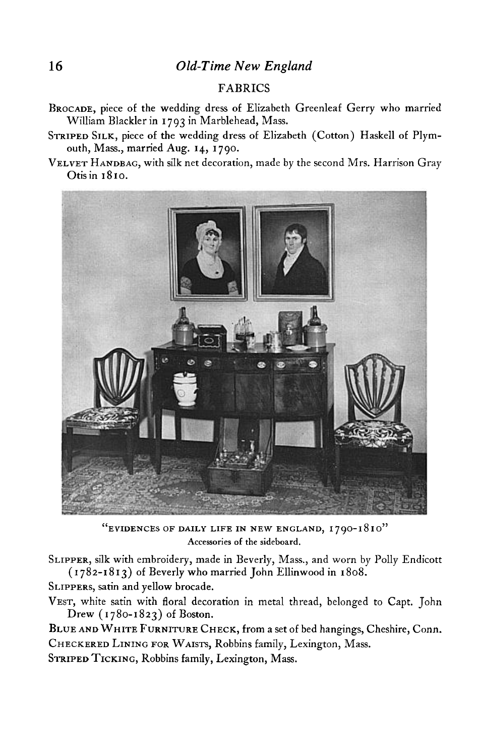### **16 Old-Time New England**

#### **FABRICS**

- **BROCADE, piece of the wedding dress of Elizabeth Greenleaf Gerry who married William Blackler in I 793 in Marblehead, Mass.**
- STRIPED SILK, piece of the wedding dress of Elizabeth (Cotton) Haskell of Plym**outh, Mass., married Aug. 14, I 790.**
- **VELVET HANDBAG, with silk net decoration, made by the second Mrs. Harrison Gray Otisin 1810.**



**"EVIDENCES OF DAILY LIFE IN NEW ENGLAND, 1790- I8 IO" Accessories of the sideboard.** 

**SLIPPER, silk with embroidery, made in Beverly, Mass., and worn by Polly Endicott ( I 782-18 I 3) of Beverly who married John Ellinwood in I 808.** 

**SLIPPERS, satin and yellow brocade.** 

**VEST, white satin with floral decoration in metal thread, belonged to Capt. John Drew (1780-1823) of Boston.** 

**BLUE AND WHITE FURNITURE CHECK, from a set of bed hangings, Cheshire, Conn. CHECKERED LINING FOR WAISTS, Robbins family, Lexington, Mass.** 

**STRIPED TICKING, Robbins family, Lexington, Mass.**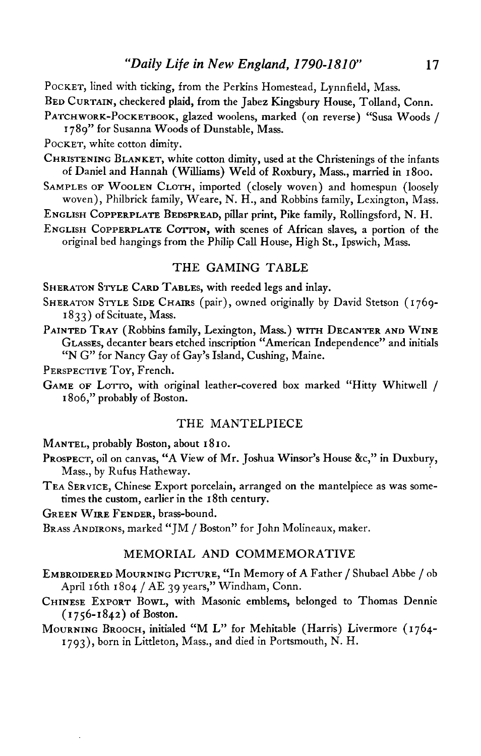**POCKET, lined with ticking, from the Perkins Homestead, Lynnfield, Mass.** 

**BED CURTAIN, checkered plaid, from the Jabez Kingsbury House, Tolland, Conn.** 

**PATCHWORK-POCKETBOOK, glazed woolens, marked (on reverse) "Susa Woods /** 

**I 789" for Susanna Woods of Dunstable, Mass.** 

**POCKET, white cotton dimity.** 

- **CHRISTENING BLANKET, white cotton dimity, used at the Christenings of the infants of Daniel and Hannah (Williams) Weld of Roxbury, Mass., married in 1800.**
- **SAMPLES OF WOOLEN CLOTH, imported (closely woven) and homespun (loosely woven), Philbrick family, Weare, N. H., and Robbins family, Lexington, Mass.**

**ENGLISH COPPERPLATE BEDSPREAD, pillar print, Pike family, Rollingsford, N. H.** 

ENGLISH COPPERPLATE COTTON, with scenes of African slaves, a portion of the **original bed hangings from the Philip Call House, High St., Ipswich, Mass.** 

#### **THE GAMING TABLE**

**SHERATON STYLE CARD TABLES, with reeded legs and inlay.** 

- **SHERATON STYLE SIDE CHAIRS (pair), owned originally by David Stetson (1769- I 833) of Scituate, Mass.**
- PAINTED TRAY (Robbins family, Lexington, Mass.) WITH DECANTER AND WINE **GLASSES, decanter bears etched inscription "American Independence" and initials "N G" for Nancy Gay of Gays ' Island, Cushing, Maine.**

**PERSPECTIVE TOY, French.** 

**GAME OF LOTTO, with original leather-covered box marked "Hitty Whitwell / I 806," probably of Boston.** 

#### **THE MANTELPIECE**

**MANTEL, probably Boston, about I 8 I o.** 

- PROSPECT, oil on canvas, "A View of Mr. Joshua Winsor's House &c," in Duxbury, **Mass., by Rufus Hatheway.**
- **TEA SERVICE, Chinese Export porcelain, arranged on the mantelpiece as was sometimes the custom, earlier in the I 8th century.**

**GREEN WIRE FENDER, brass-bound.** 

**BRASS ANDIRONS, marked "JM / Boston" for John Molineaux, maker.** 

#### **MEMORIAL AND COMMEMORATIVE**

- **EMBROIDERED MOURNING PICTURE, "In Memory of A Father / Shubael Abbe / ob April 16th 1804 / AE 39 years," Windham, Conn.**
- **CHINESE EXPORT BOWL, with Masonic emblems, belonged to Thomas Dennie (I 756-1842) of Boston.**
- **MOURNING BROOCH, initialed "M L" for Mehitable (Harris) Livermore (1764- 1793), born in Littleton, Mass., and died in Portsmouth, N. H.**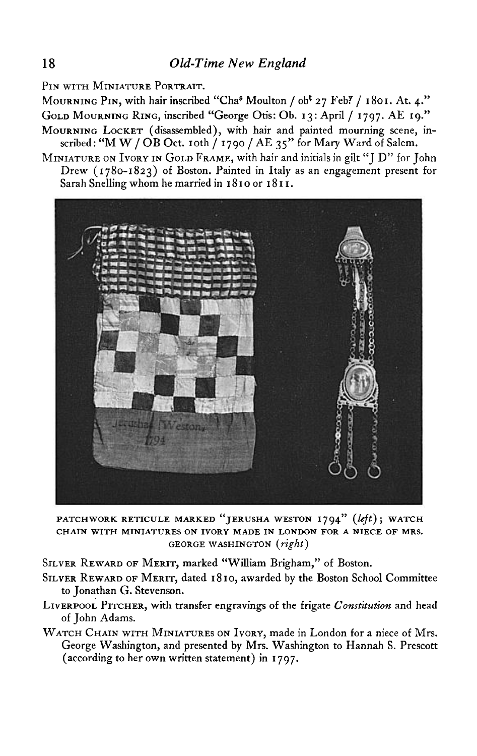**PIN WITH MINIATURE PORTRAIT.** 

**MOURNING PIN, with hair inscribed "Chas Moulton / obt 27 Feb?' / I 801. At. 4." GOLD MOURNING RING, inscribed "George Otis: Ob. 13: April / 1797. AE 19."** 

**MOURNING LOCKET (disassembled), with hair and painted mourning scene, in-** $\frac{1}{2}$  scribed  $\frac{1}{2}$  **M W** / OB Oct. 10th  $\frac{1}{2}$  1790 / AE 35" for Mary Ward of Salem.

**MINIATURE ON IVORY IN GOLD FRAME, with hair and initials in gilt "J D" for John Drew (1780-1823) of Boston. Painted in Italy as an engagement present for**  Sarah Snelling whom he married in 1810 or 1811.



PATCHWORK RETICULE MARKED "JERUSHA WESTON 1794" (left); WATCH **CHAIN WITH MINIATURES ON IVORY MADE IN LONDON FOR A NIECE OF MRS. GEORGE WASHINGTON (right)** 

**SILVER REWARD OF MERIT, marked "William Brigham," of Boston.** 

- **SILVER REWARD OF MERIT, dated I 8 IO, awarded by the Boston School Committee to Jonathan G. Stevenson.**
- LIVERPOOL PITCHER, with transfer engravings of the frigate *Constitution* and head **of John Adams.**
- **WATCH CHAIN WITH MINIATURES ON IVORY, made in London for a niece of Mrs. George Washington, and presented by Mrs. Washington to Hannah S. Prescott (according to her own written statement) in I 797.**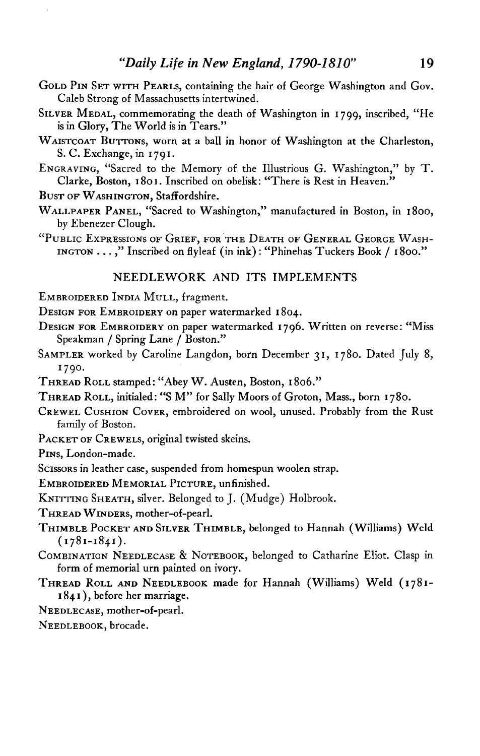- **GOLD PIN SET WITH PEARLS, containing the hair of George Washington and Gov. Caleb Strong of Massachusetts intertwined.**
- **SILVER MEDAL, commemorating the death of Washington in I 799, inscribed, "He is in Glory, The World is in Tears."**
- **WAISTCOAT BUTTONS, worn at a ball in honor of Washington at the Charleston, S. C. Exchange, in I 79 I.**
- ENGRAVING, "Sacred to the Memory of the Illustrious G. Washington," by T. **Clarke, Boston, I 80 I. Inscribed on obelisk: "There is Rest in Heaven."**
- **BUST OF WASHINGTON, Staffordshire.**
- **WALLPAPER PANEL, "Sacred to Washington," manufactured in Boston, in 1800, by Ebenezer Clough.**
- **"PUBLIC EXPRESSIONS OF GRIEF, FOR THE DEATH OF GENERAL GEORGE WASH-INGTON . . . ," Inscribed on flyleaf (in ink) : "Phinehas Tuckers Book / I 800."**

#### **NEEDLEWORK AND ITS IMPLEMENTS**

- **EMBROIDERED INDIA MULL, fragment.**
- **DESIGN FOR EMBROIDERY on paper watermarked I 804.**
- **DESIGN FOR EMBROIDERY on paper watermarked 1796. Written on reverse: "Miss Speakman / Spring Lane / Boston."**
- **SAMPLER worked by Caroline Langdon, born December 31, 1780. Dated July 8, I 790.**
- **THREAD ROLL stamped : "Abey W. Austen, Boston, I 806."**
- **THREAD ROLL, initialed: "S M" for Sally Moors of Groton, Mass., born I 780.**
- **CREWEL CUSHION COVER, embroidered on wool, unused. Probably from the Rust family of Boston.**
- **PACKET OF CREWELS, original twisted skeins.**

**PINS, London-made.** 

**Scissors in leather case, suspended from homespun woolen strap.** 

**EMBROIDERED MEMORIAL PICTURE, unfinished.** 

**KNITTING SHEATH, silver. Belonged to J. (Mudge) Holbrook.** 

**THREAD WINDERS, mother-of-pearl.** 

- **THIMBLE POCKET AND SILVER THIMBLE, belonged to Hannah (Williams) Weld (1781-1841).**
- **COMBINATION NEEDLECASE & NOTEBOOK, belonged to Catharine Eliot. Clasp in form of memorial urn painted on ivory.**
- **THREAD ROLL AND NEEDLEBOOK made for Hannah (Williams) Weld (1781- I 84 I ), before her marriage.**
- **NEEDLECASE, mother-of-pearl.**

**NEEDLEBOOK, brocade.**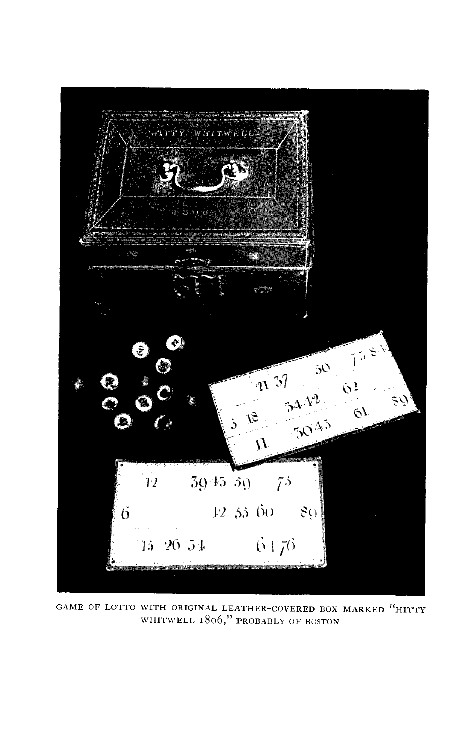

GAME OF LOTTO WITH ORIGINAL LEATHER-COVERED BOX MARKED "HITTY **WHITWELL 1806," PROEABLY OF BOSTON**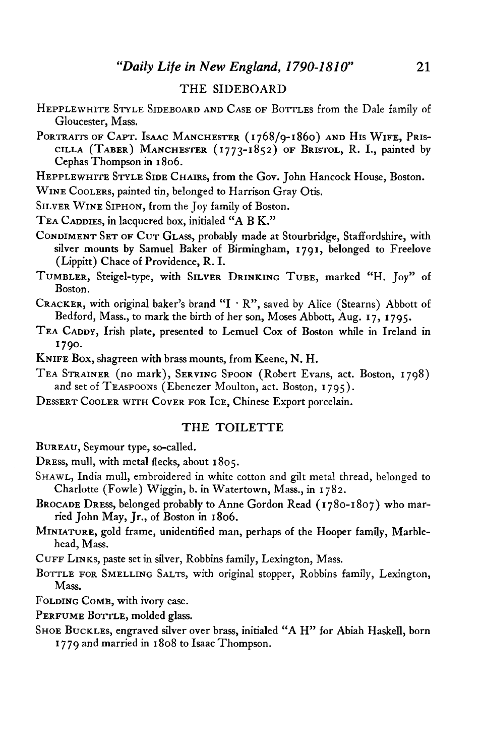#### **THE SIDEBOARD**

- **HEPPLEWHITE STYLE SIDEBOARD AND CASE OF BOTTLES from the Dale family of Gloucester, Mass.**
- PORTRAITS OF CAPT. ISAAC MANCHESTER (1768/9-1860) AND HIS WIFE, PRIS-**CILLA (TABER) MANCHESTER (1773-1852) OF BRISTOL, R. I., painted by Cephas Thompson in I 806.**

**HEPPLEWHITE STYLE SIDE CHAIRS, from the Gov. John Hancock House, Boston.** 

**WINE COOLERS, painted tin, belonged to Harrison Gray Otis.** 

**SILVER WINE SIPHON, from the Joy family of Boston.** 

**TEA CADDIES, in lacquered box, initialed "A B K."** 

**CONDIMENT SET OF CUT GLASS, probably made at Stourbridge, Staffordshire, with silver mounts by Samuel Baker of Birmingham, I 791, belonged to Freelove (Lippitt) Chace of Providence, R. I.** 

**TUMBLER, Steigel-type, with SILVER DRINKING TUBE, marked "H. Joy" of Boston.** 

- **CRACKER, with original baker's brand "I**  $\cdot$  **R", saved by Alice (Stearns) Abbott of Bedford, Mass., to mark the birth of her son, Moses Abbott, Aug. I 7, I 795.**
- **TEA CADDY, Irish plate, presented to Lemuel Cox of Boston while in Ireland in 790. '**
- **KNIFE Box, shagreen with brass mounts, from Keene, N. H.**
- **TEA STRAINER (no mark), SERVING SPOON (Robert Evans, act. Boston, 1798)**  and set of TEASPOONS (Ebenezer Moulton, act. Boston, 1795).
- **DESSERT COOLER WITH COVER FOR ICE, Chinese Export porcelain.**

#### **THE TOILETTE**

**BUREAU, Seymour type, so-called.** 

- **DRESS, mull, with metal flecks, about I 805.**
- **SHAWL, India mull, embroidered in white cotton and gilt metal thread, belonged to Charlotte (Fowle) Wiggin, b. in Watertown, Mass., in I 782.**
- **BROCADE DRESS, belonged probably to Anne Gordon Read (I 780-1807) who mar**ried John May, Jr., of Boston in 1806.
- **MINIATURE, gold frame, unidentified man, perhaps of the Hooper family, Marblehead, Mass.**

**CUFF LINKS, paste set in silver, Robbins family, Lexington, Mass.** 

**BOTTLE FOR SMELLING SALTS, with original stopper, Robbins family, Lexington, Mass.** 

**FOLDING COMB, with ivory case.** 

PERFUME BOTTLE, molded glass.

**SHOE BUCKLES, engraved silver over brass, initialed "A H" for Abiah Haskell, born I 7 79 and married in I 808 to Isaac Thompson.**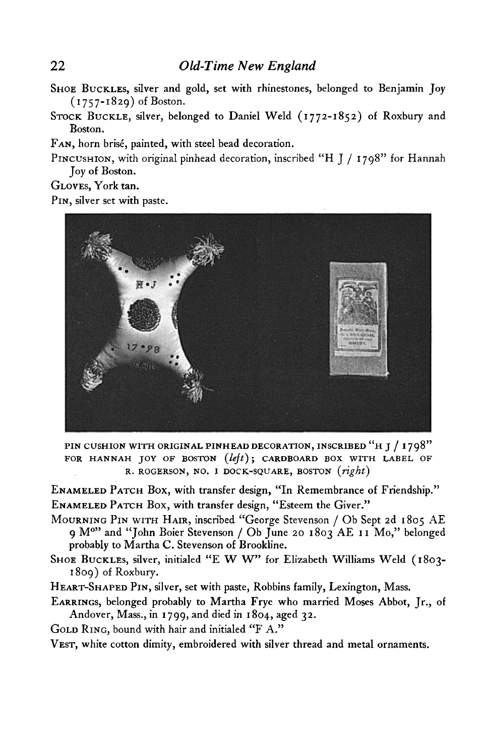- **SHOE BUCKLES, silver and gold, set with rhinestones, belonged to Benjamin Joy (1757-1829) of Boston.**
- **STOCK BUCKLE, silver, belonged to Daniel Weld (1772-1852) of Roxbury and Boston.**

**FAN, horn brise, painted, with steel bead decoration.** 

**PINCUSHION, with original pinhead decoration, inscribed "H J / I 798" for Hannah Joy of Boston.** 

**GLOVES, York tan.** 

**PIN, silver set with paste.** 



**PIN CUSHION WITH ORIGINAL PINHEAD DECORATION, INSCRIBED "H J / 1798"**  FOR HANNAH JOY OF BOSTON (left); CARDBOARD BOX WITH LABEL OF **R. ROGERSON, NO. I DOCK-SQUARE, BOSTON (right)** 

**ENAMELED PATCH Box, with transfer design, "In Remembrance of Friendship." ENAMELED PATCH Box, with transfer design, "Esteem the Giver."** 

- **MOURNING PIN WITH HAIR, inscribed "George Stevenson / Ob Sept 2d 1805 AE 9 MO" and "John Boier Stevenson / Ob June 20 1803 AE I I MO," belonged probably to Martha C. Stevenson of Brookline.**
- SHOE BUCKLES, silver, initialed "E W W" for Elizabeth Williams Weld (1803-**1809) of Roxbury.**
- **HEART-SHAPED PIN, silver, set with paste, Robbins family, Lexington, Mass.**
- **EARRINGS, belonged probably to Martha Frye who married Moses Abbot, Jr., of Andover, Mass., in I 799, and died in I 804, aged 32.**
- **GOLD RING, bound with hair and initialed "F A."**

**VEST, white cotton dimity, embroidered with silver thread and metal ornaments.**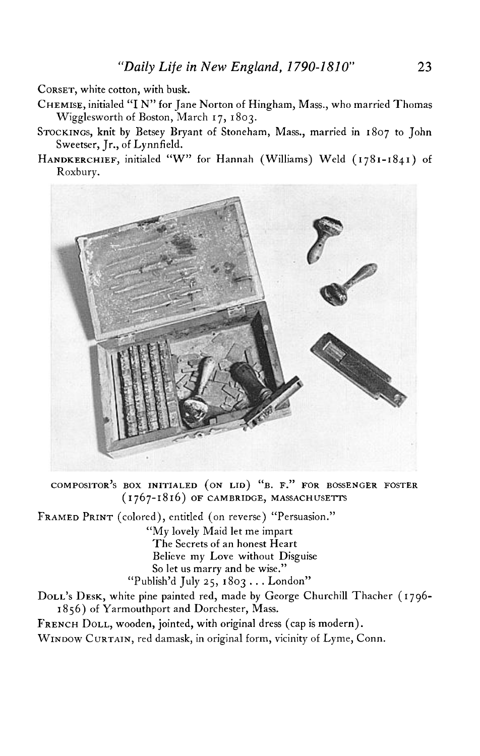**CORSET, white cotton, with busk.** 

- **CHEMISE, initialed "I N" for Jane Norton of Hingham, Mass., who married Thomas Wigglesworth of Boston, March I 7, I 803.**
- **STOCKINGS, knit by Betsey Bryant of Stoneham, Mass., married in 1807 to John Sweetser, Jr., of Lynnfield.**
- HANDKERCHIEF, initialed "W" for Hannah (Williams) Weld (1781-1841) of **Roxbury.**



COMPOSITOR'S BOX INITIALED (ON LID) "B. F." FOR BOSSENGER FOSTER **(1767-1816) OF CAMBRIDGE, MASSACHUSEITS '**

**FRAMED PRINT (colored), entitled (on reverse) "Persuasion."** 

**"My lovely Maid let me impart The Secrets of an honest Heart Believe my Love without Disguise So let us marry and be wise." "Publish'd July 25, 1803 . . . London"** 

**DOLLS ' DESK, white pine painted red, made by George Churchill Thacher (1796- I 856) of Yarmouthport and Dorchester, Mass.** 

**FRENCH DOLL, wooden, jointed, with original dress (cap is modern).** 

**WINDOW CURTAIN, red damask, in original form, vicinity of Lyme, Conn.**